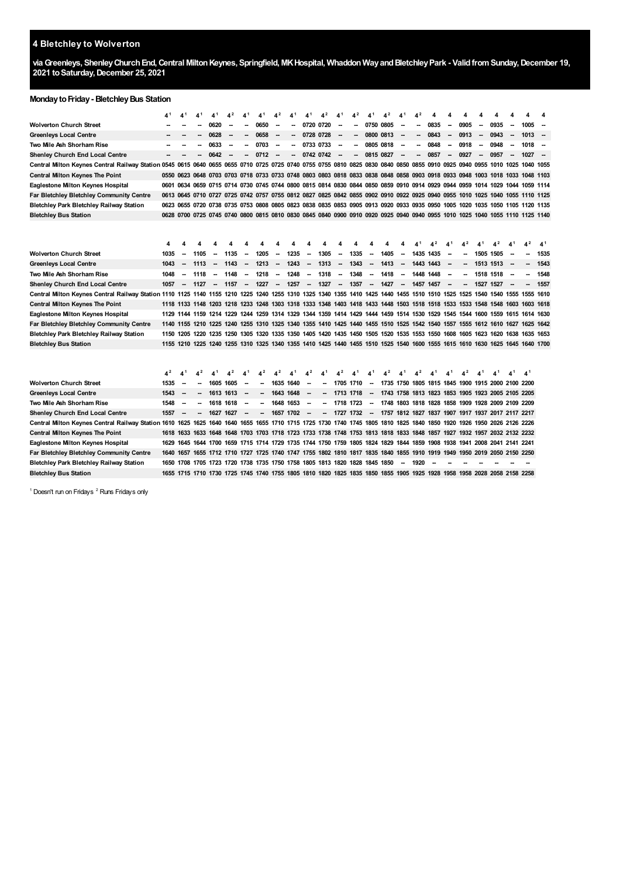## **Bletchley to Wolverton**

**viaGreenleys, ShenleyChurchEnd,Central MiltonKeynes, Springfield, MKHospital, WhaddonWayandBletchleyPark - ValidfromSunday,December 19, toSaturday,December 25, 2021**

## **MondaytoFriday- BletchleyBus Station**

|                                                                                                                                                                            |                | 4 <sup>1</sup>           | 4 <sup>1</sup> | 4 <sup>1</sup>           | $4^2$                    | 4 <sup>1</sup> | 4 <sup>1</sup>           | 4 <sup>2</sup>           | 4 <sup>1</sup>  | 41             | $4^2$                    | 4 <sup>1</sup>           | $4^2$                    | 4 <sup>1</sup>                                                                     | $4^2$          | 4 <sup>1</sup>           | $4^2$                    | 4              |                          |                                                                                                                         |                          |                |                          |                                                                                                                              |                |
|----------------------------------------------------------------------------------------------------------------------------------------------------------------------------|----------------|--------------------------|----------------|--------------------------|--------------------------|----------------|--------------------------|--------------------------|-----------------|----------------|--------------------------|--------------------------|--------------------------|------------------------------------------------------------------------------------|----------------|--------------------------|--------------------------|----------------|--------------------------|-------------------------------------------------------------------------------------------------------------------------|--------------------------|----------------|--------------------------|------------------------------------------------------------------------------------------------------------------------------|----------------|
| <b>Wolverton Church Street</b>                                                                                                                                             |                |                          |                | 0620                     | --                       |                | 0650                     | $\overline{\phantom{a}}$ |                 | 0720 0720      |                          | $\overline{\phantom{a}}$ |                          | 0750 0805                                                                          |                | $\overline{\phantom{a}}$ | -                        | 0835           | $\overline{\phantom{a}}$ | 0905                                                                                                                    | $\overline{\phantom{a}}$ | 0935           | $\sim$                   | 1005                                                                                                                         |                |
| Greenleys Local Centre                                                                                                                                                     |                |                          |                | 0628                     | $\overline{\phantom{a}}$ | --             | 0658                     | --                       | --              | 0728 0728      |                          | $\overline{\phantom{a}}$ | --                       | 0800 0813                                                                          |                | $\overline{\phantom{a}}$ | Ξ.                       | 0843           | $\sim$                   | 0913                                                                                                                    | $\sim$                   | 0943           | $\overline{\phantom{a}}$ | 1013                                                                                                                         | $\sim$         |
| Two Mile Ash Shorham Rise                                                                                                                                                  |                |                          |                | 0633                     | --                       | ۰.             | 0703                     | $\sim$                   | ۰.              | 0733 0733      |                          | $\overline{\phantom{a}}$ | $\overline{\phantom{a}}$ | 0805 0818                                                                          |                | $\overline{\phantom{a}}$ | -                        | 0848           | $\sim$                   | 0918                                                                                                                    | $\overline{\phantom{a}}$ | 0948           | $\overline{\phantom{a}}$ | $1018 -$                                                                                                                     |                |
| <b>Shenley Church End Local Centre</b>                                                                                                                                     |                |                          |                | 0642                     | --                       | $\sim$         | 0712                     | $\sim$                   | --              | 0742 0742      |                          | $\overline{\phantom{a}}$ | -                        | 0815 0827                                                                          |                | $\overline{\phantom{a}}$ | $\overline{\phantom{a}}$ | 0857           | $\sim$                   | 0927                                                                                                                    | $\sim$                   | 0957           | $\sim$                   | $1027 -$                                                                                                                     |                |
| Central Milton Keynes Central Railway Station 0545 0615 0640 0655 0655 0710 0725 0725 0740 0755 0755 0810 0825 0830 0840 0850 0855 0910 0925 0940 0955 1010 1025 1040 1055 |                |                          |                |                          |                          |                |                          |                          |                 |                |                          |                          |                          |                                                                                    |                |                          |                          |                |                          |                                                                                                                         |                          |                |                          |                                                                                                                              |                |
| <b>Central Milton Keynes The Point</b>                                                                                                                                     |                |                          |                |                          |                          |                |                          |                          |                 |                |                          |                          |                          |                                                                                    |                |                          |                          |                |                          |                                                                                                                         |                          |                |                          | 0550 0623 0648 0703 0703 0718 0733 0733 0748 0803 0803 0818 0833 0838 0848 0858 0903 0918 0933 0948 1003 1018 1033 1048 1103 |                |
| Eaglestone Milton Keynes Hospital                                                                                                                                          |                |                          |                |                          |                          |                |                          |                          |                 |                |                          |                          |                          |                                                                                    |                |                          |                          |                |                          |                                                                                                                         |                          |                |                          | 0601 0634 0659 0715 0714 0730 0745 0744 0800 0815 0814 0830 0844 0850 0859 0910 0914 0929 0944 0959 1014 1029 1044 1059 1114 |                |
| Far Bletchley Bletchley Community Centre                                                                                                                                   |                |                          |                |                          |                          |                |                          |                          |                 |                |                          |                          |                          |                                                                                    |                |                          |                          |                |                          |                                                                                                                         |                          |                |                          | 0613 0645 0710 0727 0725 0742 0757 0755 0812 0827 0825 0842 0855 0902 0910 0922 0925 0940 0955 1010 1025 1040 1055 1110 1125 |                |
| Bletchley Park Bletchley Railway Station                                                                                                                                   |                |                          |                |                          |                          |                |                          |                          |                 |                |                          |                          |                          |                                                                                    |                |                          |                          |                |                          |                                                                                                                         |                          |                |                          | 0623 0655 0720 0738 0735 0753 0808 0805 0823 0838 0835 0853 0905 0913 0920 0933 0935 0950 1005 1020 1035 1050 1105 1120 1135 |                |
| Bletchley Bus Station                                                                                                                                                      |                |                          |                |                          |                          |                |                          |                          |                 |                |                          |                          |                          |                                                                                    |                |                          |                          |                |                          |                                                                                                                         |                          |                |                          | 0628 0700 0725 0745 0740 0800 0815 0810 0830 0845 0840 0900 0910 0920 0925 0940 0940 0955 1010 1025 1040 1055 1110 1125 1140 |                |
|                                                                                                                                                                            |                |                          |                |                          |                          |                |                          |                          |                 |                |                          |                          |                          |                                                                                    |                |                          |                          |                |                          |                                                                                                                         |                          |                |                          |                                                                                                                              |                |
|                                                                                                                                                                            |                |                          |                |                          |                          |                |                          |                          |                 |                |                          |                          |                          |                                                                                    |                |                          |                          |                |                          |                                                                                                                         |                          |                |                          |                                                                                                                              |                |
|                                                                                                                                                                            | 4              |                          |                |                          |                          |                |                          |                          |                 | 4              | 4                        | 4                        | 4                        | 4                                                                                  | 4              |                          |                          | $\mathbf{A}^2$ | $\Lambda$ <sup>1</sup>   | $4^2$                                                                                                                   | 4 <sup>1</sup>           | $\mathbf{4}^2$ | $\mathbf{A}^1$           | $4^2$                                                                                                                        | 4 <sup>1</sup> |
| <b>Wolverton Church Street</b>                                                                                                                                             | 1035           |                          | 1105           | -                        | 1135                     | $\sim$         | 1205                     | $\sim$                   | 1235            | $\sim$         | 1305                     | $\sim$                   | 1335                     | $\sim$                                                                             | 1405           | $\sim$                   | 1435 1435                |                | $\sim$                   | $\sim$                                                                                                                  | 1505 1505                |                | $\sim$                   | $\sim$                                                                                                                       | 1535           |
| Greenleys Local Centre                                                                                                                                                     | 1043           |                          | 1113           | $\overline{\phantom{a}}$ | 1143                     | $\sim$         | 1213                     | $\sim$                   | 1243            | $\sim$         | 1313                     | $\sim$                   | 1343                     | $\sim$                                                                             | 1413           | $\sim$                   | 1443 1443                |                | $\sim$                   | $\overline{\phantom{a}}$                                                                                                | 1513 1513                |                | $\overline{\phantom{a}}$ | --                                                                                                                           | 1543           |
| Two Mile Ash Shorham Rise                                                                                                                                                  | 1048           | $\overline{\phantom{a}}$ | 1118           | $\overline{\phantom{a}}$ | 1148                     | $\sim$         | 1218                     | $\overline{\phantom{a}}$ | 1248            | $\sim$         | 1318                     |                          | $- 1348$                 | $\sim$                                                                             | 1418           | $\overline{\phantom{a}}$ | 1448 1448                |                | $\overline{\phantom{a}}$ | $\sim$                                                                                                                  | 1518 1518                |                |                          |                                                                                                                              | 1548           |
| Shenley Church End Local Centre                                                                                                                                            | 1057           | $\overline{\phantom{a}}$ | 1127           |                          | - 1157 -                 |                | 1227                     |                          | -- 1257 -- 1327 |                |                          | - 1357                   |                          | - 1427                                                                             |                |                          |                          | $- 1457$ 1457  | $\sim$                   |                                                                                                                         |                          | $- 1527$ 1527  | $\sim$                   | $\sim$                                                                                                                       | 1557           |
| Central Milton Keynes Central Railway Station 1110 1125 1140 1155 1210 1225 1240 1255 1310 1325 1340 1355 1410 1425 1440 1455 1510 1510 1525 1525 1540 1540 1555 1555 1610 |                |                          |                |                          |                          |                |                          |                          |                 |                |                          |                          |                          |                                                                                    |                |                          |                          |                |                          |                                                                                                                         |                          |                |                          |                                                                                                                              |                |
| <b>Central Milton Keynes The Point</b>                                                                                                                                     |                |                          |                |                          |                          |                |                          |                          |                 |                |                          |                          |                          |                                                                                    |                |                          |                          |                |                          |                                                                                                                         |                          |                |                          | 1118 1133 1148 1203 1218 1233 1248 1303 1318 1333 1348 1403 1418 1433 1448 1503 1518 1518 1533 1533 1548 1548 1603 1618      |                |
| Eaglestone Milton Keynes Hospital                                                                                                                                          |                |                          |                |                          |                          |                |                          |                          |                 |                |                          |                          |                          |                                                                                    |                |                          |                          |                |                          |                                                                                                                         |                          |                |                          | 1129 1144 1159 1214 1229 1244 1259 1314 1329 1344 1359 1414 1429 1444 1459 1514 1530 1529 1545 1544 1600 1559 1615 1614 1630 |                |
| Far Bletchley Bletchley Community Centre                                                                                                                                   |                |                          |                |                          |                          |                |                          |                          |                 |                |                          |                          |                          |                                                                                    |                |                          |                          |                |                          |                                                                                                                         |                          |                |                          | 1140 1155 1210 1225 1240 1255 1310 1325 1340 1355 1410 1425 1440 1455 1510 1525 1542 1540 1557 1555 1612 1610 1627 1625 1642 |                |
| Bletchley Park Bletchley Railway Station                                                                                                                                   |                |                          |                |                          |                          |                |                          |                          |                 |                |                          |                          |                          |                                                                                    |                |                          |                          |                |                          |                                                                                                                         |                          |                |                          | 1150 1205 1220 1235 1250 1305 1320 1335 1350 1405 1420 1435 1450 1505 1520 1535 1553 1550 1608 1605 1623 1620 1638 1635 1653 |                |
| <b>Bletchley Bus Station</b>                                                                                                                                               |                |                          |                |                          |                          |                |                          |                          |                 |                |                          |                          |                          |                                                                                    |                |                          |                          |                |                          |                                                                                                                         |                          |                |                          | 1155 1210 1225 1240 1255 1310 1325 1340 1355 1410 1425 1440 1455 1510 1525 1540 1600 1555 1615 1610 1630 1625 1645 1640 1700 |                |
|                                                                                                                                                                            |                |                          |                |                          |                          |                |                          |                          |                 |                |                          |                          |                          |                                                                                    |                |                          |                          |                |                          |                                                                                                                         |                          |                |                          |                                                                                                                              |                |
|                                                                                                                                                                            |                |                          |                |                          |                          |                |                          |                          |                 |                |                          |                          |                          |                                                                                    |                |                          |                          |                |                          |                                                                                                                         |                          |                |                          |                                                                                                                              |                |
|                                                                                                                                                                            | 4 <sup>2</sup> | 4 <sup>1</sup>           | $\mathbf{4}^2$ | 4 <sup>1</sup>           | $\mathbf{4}^2$           | 41             | $\mathbf{4}^2$           | 4 <sup>2</sup>           | 41              | 4 <sup>2</sup> | 41                       | 4 <sup>2</sup>           | 41                       | 41                                                                                 | 4 <sup>2</sup> | 41                       | 4 <sup>2</sup>           | 41             | 4 <sup>1</sup>           | $\mathbf{4}^2$                                                                                                          | 4 <sup>1</sup>           | 4 <sup>1</sup> | 4 <sup>1</sup>           | $\mathbf{A}^1$                                                                                                               |                |
| <b>Wolverton Church Street</b>                                                                                                                                             | 1535           | $\overline{\phantom{a}}$ | -              | 1605 1605                |                          | $\sim$         | -                        | 1635 1640                |                 | $\sim$         | -                        | 1705 1710                |                          | $\sim$                                                                             |                |                          |                          |                |                          | 1735 1750 1805 1815 1845 1900 1915 2000 2100 2200                                                                       |                          |                |                          |                                                                                                                              |                |
| <b>Greenleys Local Centre</b>                                                                                                                                              | 1543           | $\overline{\phantom{a}}$ |                | 1613 1613                |                          | $\sim$         | -                        | 1643 1648                |                 | $\sim$         | $\overline{\phantom{a}}$ | 1713 1718                |                          |                                                                                    |                |                          |                          |                |                          | - 1743 1758 1813 1823 1853 1905 1923 2005 2105 2205                                                                     |                          |                |                          |                                                                                                                              |                |
| Two Mile Ash Shorham Rise                                                                                                                                                  | 1548           | $\overline{\phantom{a}}$ | -              | 1618 1618                |                          | $\sim$         | --                       | 1648 1653                |                 | $\sim$         | н.                       |                          |                          |                                                                                    |                |                          |                          |                |                          | 1718 1723 - 1748 1803 1818 1828 1858 1909 1928 2009 2109 2209                                                           |                          |                |                          |                                                                                                                              |                |
| Shenley Church End Local Centre                                                                                                                                            | 1557           | $\overline{\phantom{a}}$ | -              | 1627 1627                |                          | $\sim$         | $\overline{\phantom{a}}$ |                          | 1657 1702       | $\sim$         |                          |                          |                          |                                                                                    |                |                          |                          |                |                          | - 1727 1732 - 1757 1812 1827 1837 1907 1917 1937 2017 2117 2217                                                         |                          |                |                          |                                                                                                                              |                |
| Central Milton Keynes Central Railway Station 1610 1625 1625 1640 1640 1655 1655 1710 1715 1725 1730 1740 1745 1805 1810 1825 1840 1850 1920 1926 1950 2026 2126 2226      |                |                          |                |                          |                          |                |                          |                          |                 |                |                          |                          |                          |                                                                                    |                |                          |                          |                |                          |                                                                                                                         |                          |                |                          |                                                                                                                              |                |
| Central Milton Keynes The Point                                                                                                                                            |                |                          |                |                          |                          |                |                          |                          |                 |                |                          |                          |                          |                                                                                    |                |                          |                          |                |                          | 1618 1633 1633 1648 1648 1703 1703 1718 1723 1733 1738 1748 1753 1813 1818 1833 1848 1857 1927 1932 1957 2032 2132 2232 |                          |                |                          |                                                                                                                              |                |
| Eaglestone Milton Keynes Hospital                                                                                                                                          |                |                          |                |                          |                          |                |                          |                          |                 |                |                          |                          |                          |                                                                                    |                |                          |                          |                |                          | 1629 1645 1644 1700 1659 1715 1714 1729 1735 1744 1750 1759 1805 1824 1829 1844 1859 1908 1938 1941 2008 2041 2141 2241 |                          |                |                          |                                                                                                                              |                |
| Far Bletchley Bletchley Community Centre                                                                                                                                   |                |                          |                |                          |                          |                |                          |                          |                 |                |                          |                          |                          |                                                                                    |                |                          |                          |                |                          | 1640 1657 1655 1712 1710 1727 1725 1740 1747 1755 1802 1810 1817 1835 1840 1855 1910 1919 1949 1950 2019 2050 2150 2250 |                          |                |                          |                                                                                                                              |                |
| Bletchley Park Bletchley Railway Station                                                                                                                                   |                |                          |                |                          |                          |                |                          |                          |                 |                |                          |                          |                          | 1650 1708 1705 1723 1720 1738 1735 1750 1758 1805 1813 1820 1828 1845 1850 -- 1920 |                |                          |                          | $\sim$         |                          |                                                                                                                         |                          |                |                          |                                                                                                                              |                |

<span id="page-0-1"></span><span id="page-0-0"></span><sup>1</sup> Doesn't run on Fridays <sup>2</sup> Runs Fridays only

**Bletchley Bus Station**